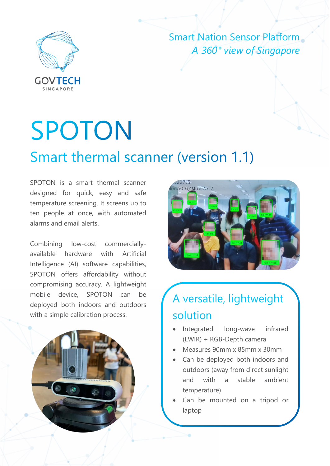

Smart Nation Sensor Platform *A 360° view of Singapore*

# **SPOTON**

#### Smart thermal scanner (version 1.1)

SPOTON is a smart thermal scanner designed for quick, easy and safe temperature screening. It screens up to ten people at once, with automated alarms and email alerts.

Combining low-cost commerciallyavailable hardware with Artificial Intelligence (AI) software capabilities, SPOTON offers affordability without compromising accuracy. A lightweight mobile device, SPOTON can be deployed both indoors and outdoors with a simple calibration process.





#### A versatile, lightweight solution

- Integrated long-wave infrared (LWIR) + RGB-Depth camera
- Measures 90mm x 85mm x 30mm
- Can be deployed both indoors and outdoors (away from direct sunlight and with a stable ambient temperature)
- Can be mounted on a tripod or laptop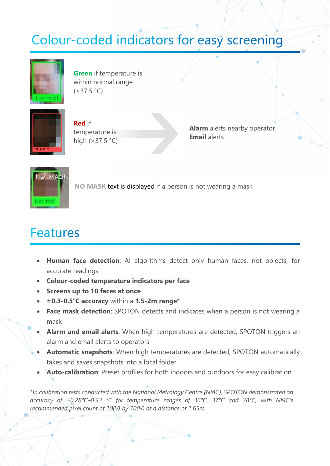### Colour-coded indicators for easy screening



**Green** if temperature is within normal range (≤37.5 °C)



**Red** if temperature is high (>37.5 °C)

**Alarm** alerts nearby operator **Email** alerts



**NO MASK** text is displayed if a person is not wearing a mask

#### **Features**

- **Human face detection**: AI algorithms detect only human faces, not objects, for accurate readings
- **Colour-coded temperature indicators per face**
- **Screens up to 10 faces at once**
- **±0.3-0.5°C accuracy** within a **1.5-2m range**\*
- **Face mask detection**: SPOTON detects and indicates when a person is not wearing a mask
- **Alarm and email alerts**: When high temperatures are detected, SPOTON triggers an alarm and email alerts to operators
- **Automatic snapshots**: When high temperatures are detected, SPOTON automatically takes and saves snapshots into a local folder
- **Auto-calibration**: Preset profiles for both indoors and outdoors for easy calibration

*\*In calibration tests conducted with the National Metrology Centre (NMC), SPOTON demonstrated an accuracy of ±0.28°C–0.33 °C for temperature ranges of 36°C, 37°C and 38°C, with NMC's recommended pixel count of 10(V) by 10(H) at a distance of 1.65m.*